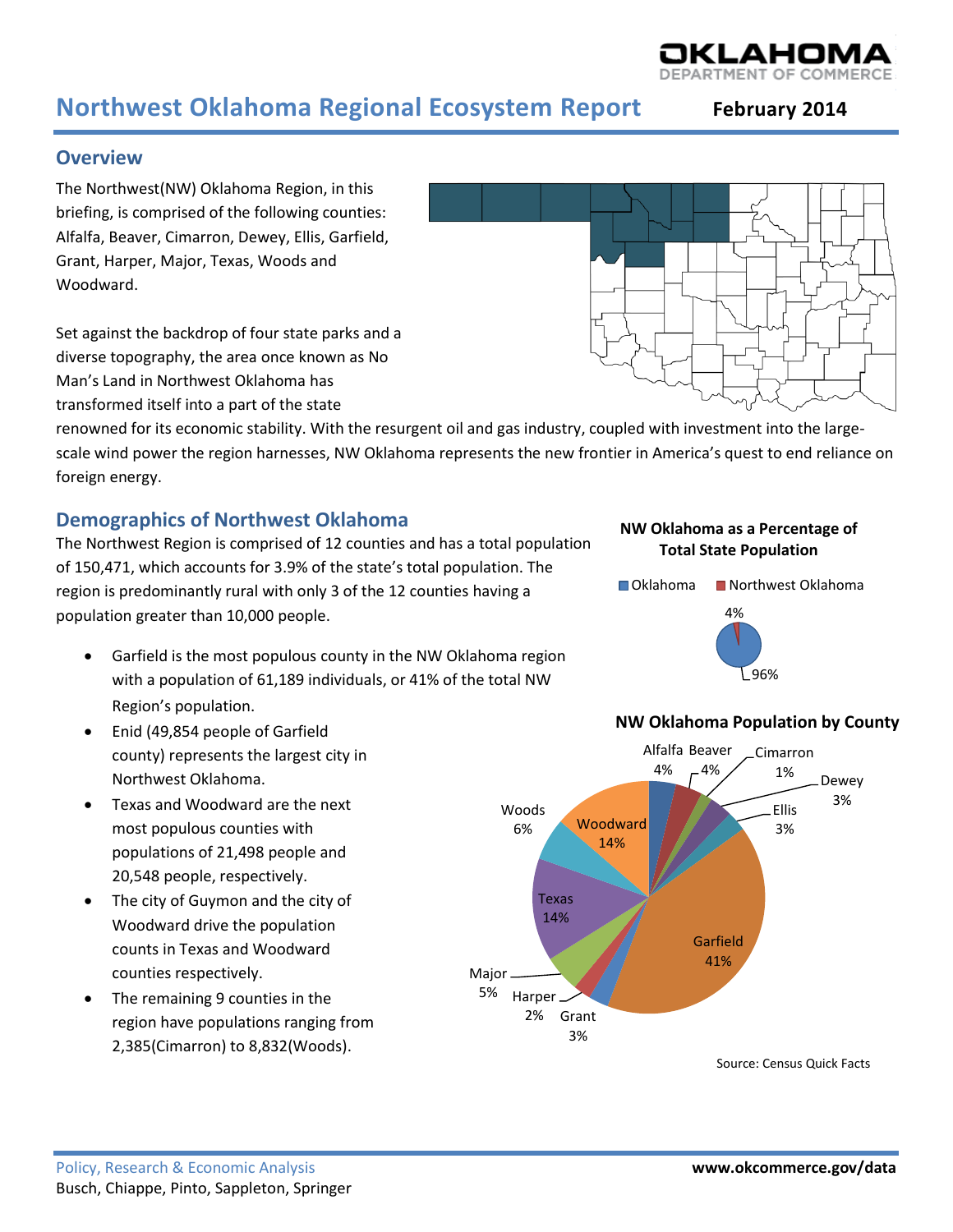# **Northwest Oklahoma Regional Ecosystem Report February <sup>2014</sup>**

# **Overview**

The Northwest(NW) Oklahoma Region, in this briefing, is comprised of the following counties: Alfalfa, Beaver, Cimarron, Dewey, Ellis, Garfield, Grant, Harper, Major, Texas, Woods and Woodward.

Set against the backdrop of four state parks and a diverse topography, the area once known as No Man's Land in Northwest Oklahoma has transformed itself into a part of the state

renowned for its economic stability. With the resurgent oil and gas industry, coupled with investment into the largescale wind power the region harnesses, NW Oklahoma represents the new frontier in America's quest to end reliance on foreign energy.

# **Demographics of Northwest Oklahoma**

The Northwest Region is comprised of 12 counties and has a total population of 150,471, which accounts for 3.9% of the state's total population. The region is predominantly rural with only 3 of the 12 counties having a population greater than 10,000 people.

- Garfield is the most populous county in the NW Oklahoma region with a population of 61,189 individuals, or 41% of the total NW Region's population.
- Enid (49,854 people of Garfield county) represents the largest city in Northwest Oklahoma.
- Texas and Woodward are the next most populous counties with populations of 21,498 people and 20,548 people, respectively.
- The city of Guymon and the city of Woodward drive the population counts in Texas and Woodward counties respectively.
- The remaining 9 counties in the region have populations ranging from 2,385(Cimarron) to 8,832(Woods).

#### **NW Oklahoma as a Percentage of Total State Population**





# **NW Oklahoma Population by County**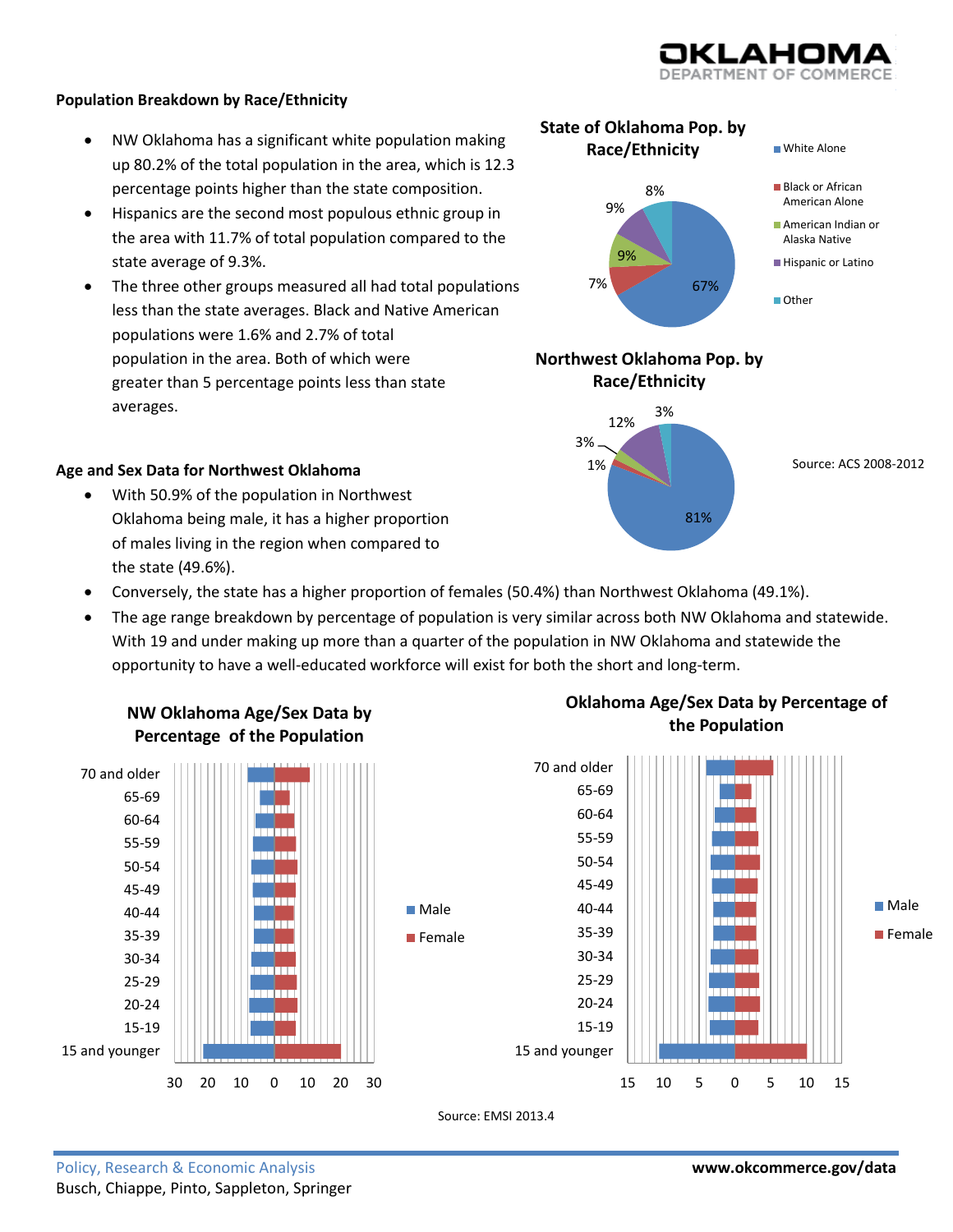

#### **Population Breakdown by Race/Ethnicity**

- NW Oklahoma has a significant white population making up 80.2% of the total population in the area, which is 12.3 percentage points higher than the state composition.
- Hispanics are the second most populous ethnic group in the area with 11.7% of total population compared to the state average of 9.3%.
- The three other groups measured all had total populations less than the state averages. Black and Native American populations were 1.6% and 2.7% of total population in the area. Both of which were greater than 5 percentage points less than state averages.



81%

#### **Age and Sex Data for Northwest Oklahoma**

- With 50.9% of the population in Northwest Oklahoma being male, it has a higher proportion of males living in the region when compared to the state (49.6%).
- Conversely, the state has a higher proportion of females (50.4%) than Northwest Oklahoma (49.1%).
- The age range breakdown by percentage of population is very similar across both NW Oklahoma and statewide. With 19 and under making up more than a quarter of the population in NW Oklahoma and statewide the opportunity to have a well-educated workforce will exist for both the short and long-term.



# **NW Oklahoma Age/Sex Data by Percentage of the Population**



Source: EMSI 2013.4

# **Oklahoma Age/Sex Data by Percentage of the Population**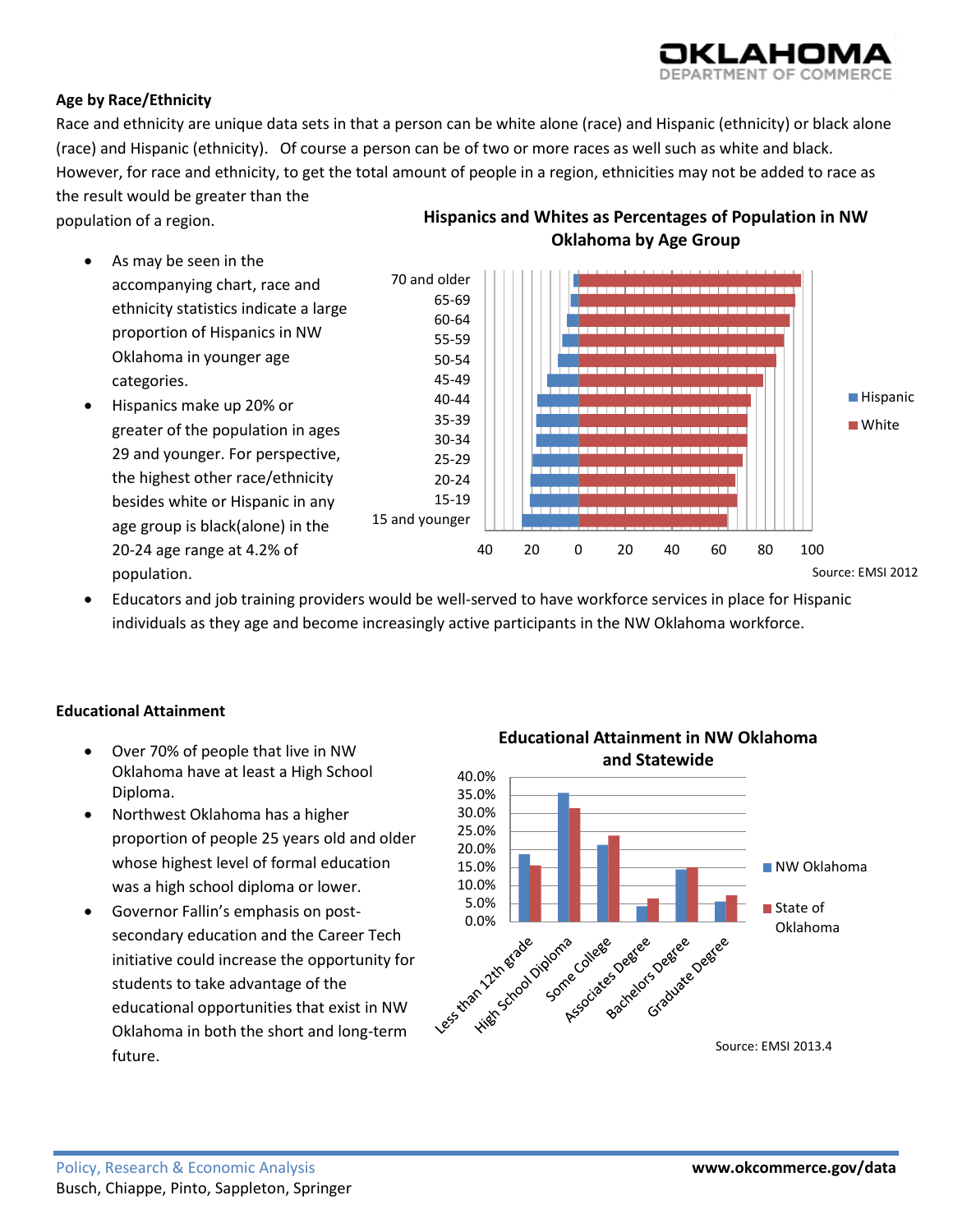# AHOI

# **Age by Race/Ethnicity**

Race and ethnicity are unique data sets in that a person can be white alone (race) and Hispanic (ethnicity) or black alone (race) and Hispanic (ethnicity). Of course a person can be of two or more races as well such as white and black. However, for race and ethnicity, to get the total amount of people in a region, ethnicities may not be added to race as the result would be greater than the

population of a region.

- As may be seen in the
	- accompanying chart, race and ethnicity statistics indicate a large proportion of Hispanics in NW Oklahoma in younger age categories.
- Hispanics make up 20% or greater of the population in ages 29 and younger. For perspective, the highest other race/ethnicity besides white or Hispanic in any age group is black(alone) in the 20-24 age range at 4.2% of population.



**Hispanics and Whites as Percentages of Population in NW Oklahoma by Age Group**

 Educators and job training providers would be well-served to have workforce services in place for Hispanic individuals as they age and become increasingly active participants in the NW Oklahoma workforce.

# **Educational Attainment**

- Over 70% of people that live in NW Oklahoma have at least a High School Diploma.
- Northwest Oklahoma has a higher proportion of people 25 years old and older whose highest level of formal education was a high school diploma or lower.
- Governor Fallin's emphasis on postsecondary education and the Career Tech initiative could increase the opportunity for students to take advantage of the educational opportunities that exist in NW Oklahoma in both the short and long-term future.

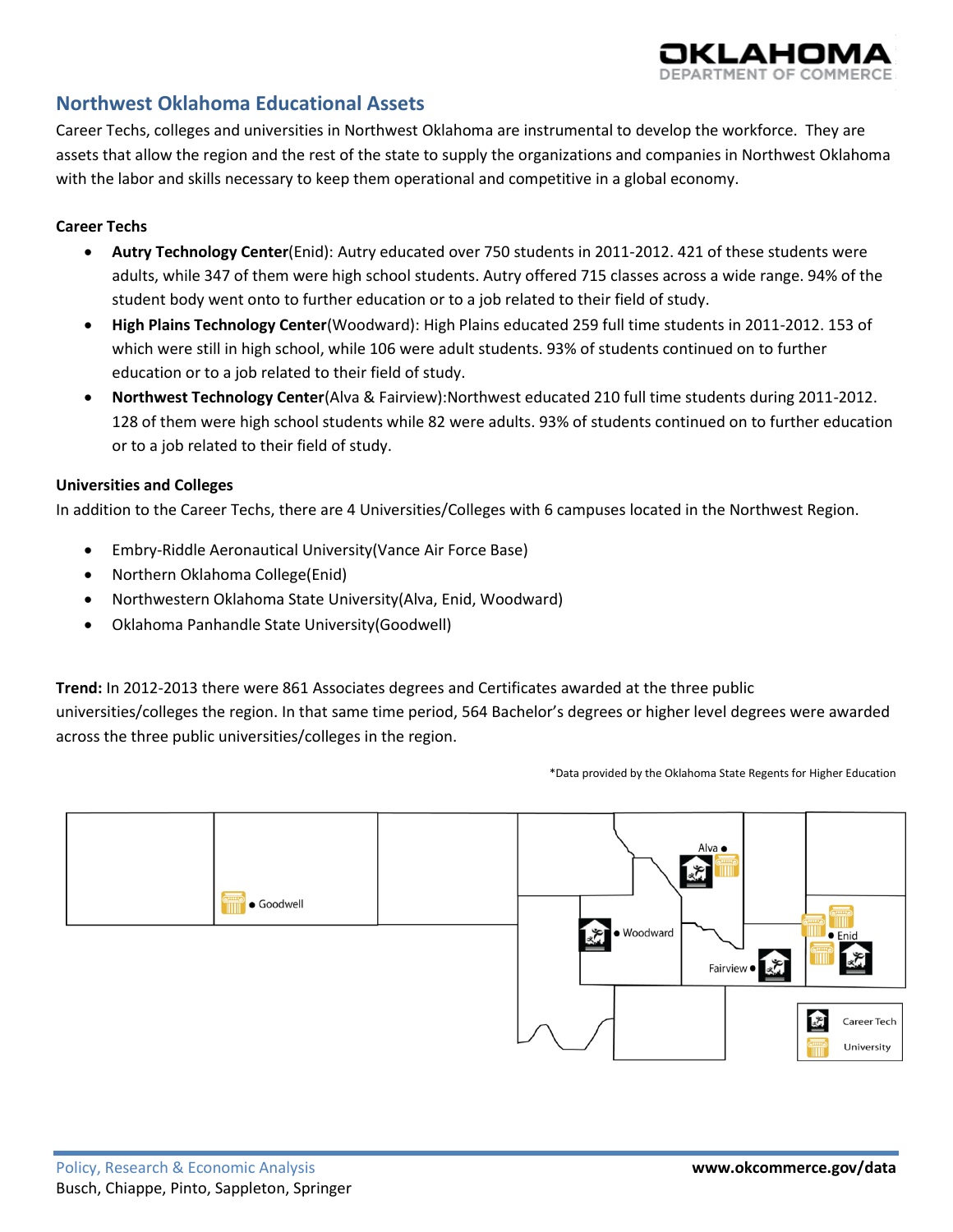# **Northwest Oklahoma Educational Assets**

Career Techs, colleges and universities in Northwest Oklahoma are instrumental to develop the workforce. They are assets that allow the region and the rest of the state to supply the organizations and companies in Northwest Oklahoma with the labor and skills necessary to keep them operational and competitive in a global economy.

## **Career Techs**

- **Autry Technology Center**(Enid): Autry educated over 750 students in 2011-2012. 421 of these students were adults, while 347 of them were high school students. Autry offered 715 classes across a wide range. 94% of the student body went onto to further education or to a job related to their field of study.
- **High Plains Technology Center**(Woodward): High Plains educated 259 full time students in 2011-2012. 153 of which were still in high school, while 106 were adult students. 93% of students continued on to further education or to a job related to their field of study.
- **Northwest Technology Center**(Alva & Fairview):Northwest educated 210 full time students during 2011-2012. 128 of them were high school students while 82 were adults. 93% of students continued on to further education or to a job related to their field of study.

#### **Universities and Colleges**

In addition to the Career Techs, there are 4 Universities/Colleges with 6 campuses located in the Northwest Region.

- Embry-Riddle Aeronautical University(Vance Air Force Base)
- Northern Oklahoma College(Enid)
- Northwestern Oklahoma State University(Alva, Enid, Woodward)
- Oklahoma Panhandle State University(Goodwell)

**Trend:** In 2012-2013 there were 861 Associates degrees and Certificates awarded at the three public universities/colleges the region. In that same time period, 564 Bachelor's degrees or higher level degrees were awarded across the three public universities/colleges in the region.

\*Data provided by the Oklahoma State Regents for Higher Education

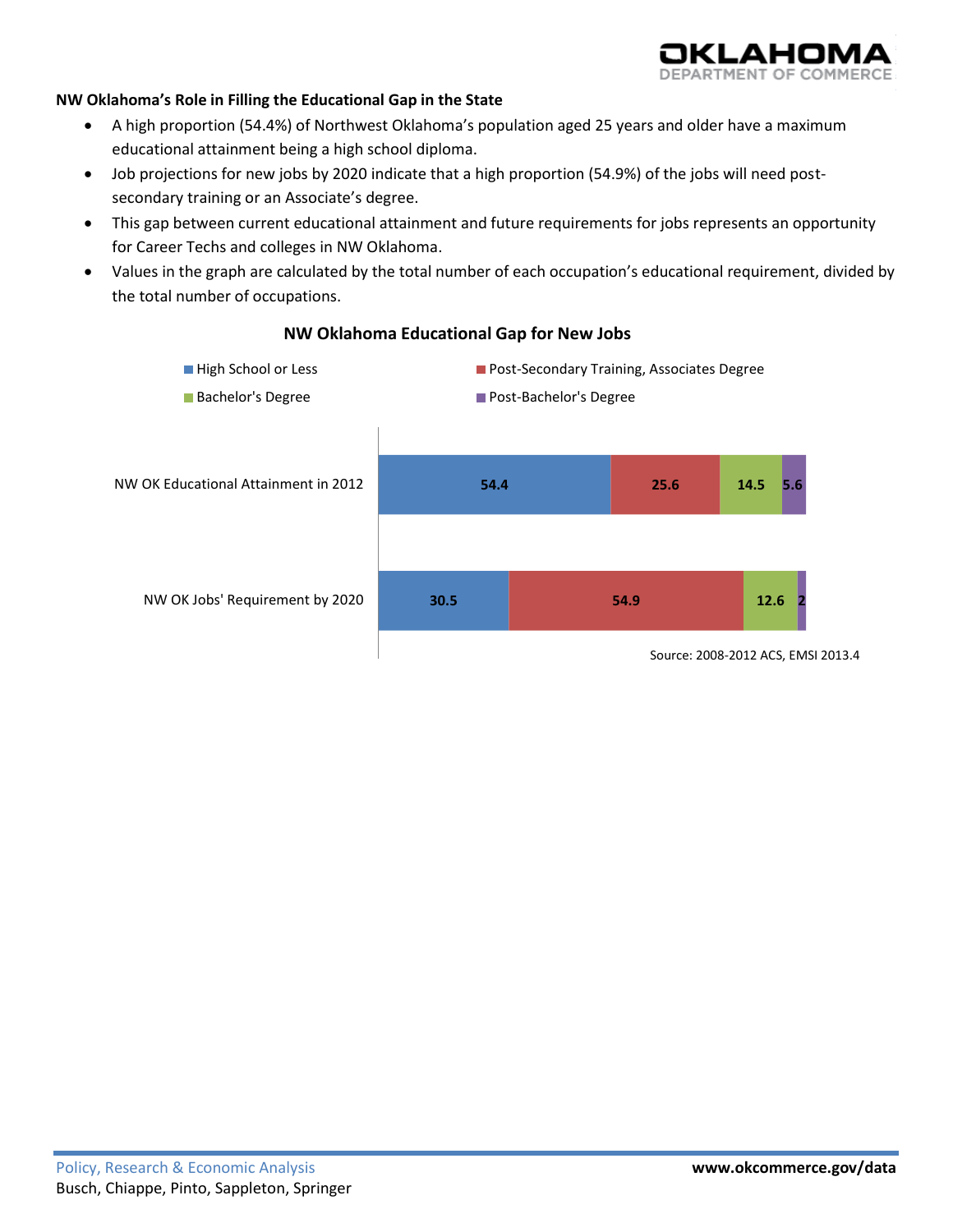

#### **NW Oklahoma's Role in Filling the Educational Gap in the State**

- A high proportion (54.4%) of Northwest Oklahoma's population aged 25 years and older have a maximum educational attainment being a high school diploma.
- Job projections for new jobs by 2020 indicate that a high proportion (54.9%) of the jobs will need postsecondary training or an Associate's degree.
- This gap between current educational attainment and future requirements for jobs represents an opportunity for Career Techs and colleges in NW Oklahoma.
- Values in the graph are calculated by the total number of each occupation's educational requirement, divided by the total number of occupations.



#### **NW Oklahoma Educational Gap for New Jobs**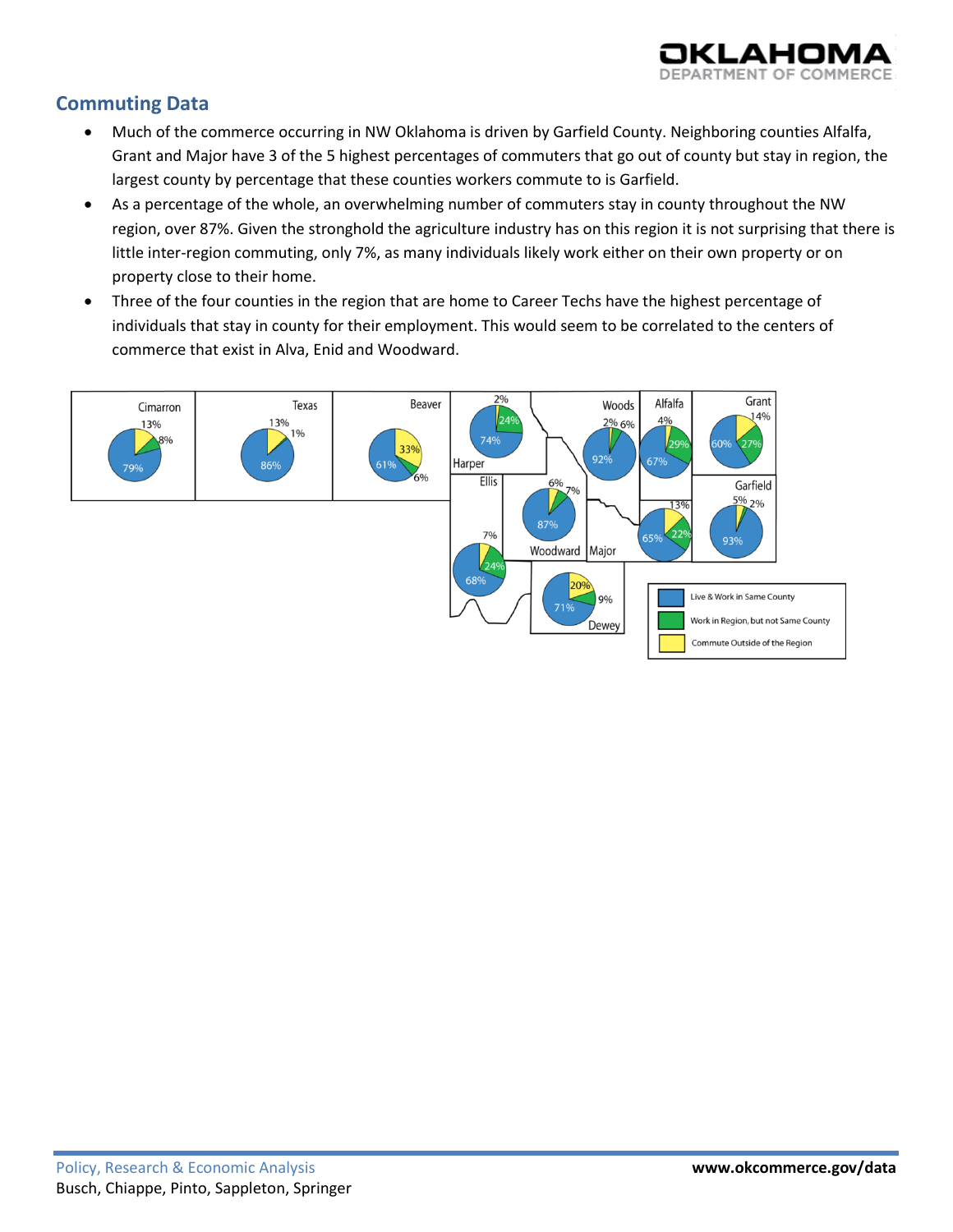

# **Commuting Data**

- Much of the commerce occurring in NW Oklahoma is driven by Garfield County. Neighboring counties Alfalfa, Grant and Major have 3 of the 5 highest percentages of commuters that go out of county but stay in region, the largest county by percentage that these counties workers commute to is Garfield.
- As a percentage of the whole, an overwhelming number of commuters stay in county throughout the NW region, over 87%. Given the stronghold the agriculture industry has on this region it is not surprising that there is little inter-region commuting, only 7%, as many individuals likely work either on their own property or on property close to their home.
- Three of the four counties in the region that are home to Career Techs have the highest percentage of individuals that stay in county for their employment. This would seem to be correlated to the centers of commerce that exist in Alva, Enid and Woodward.

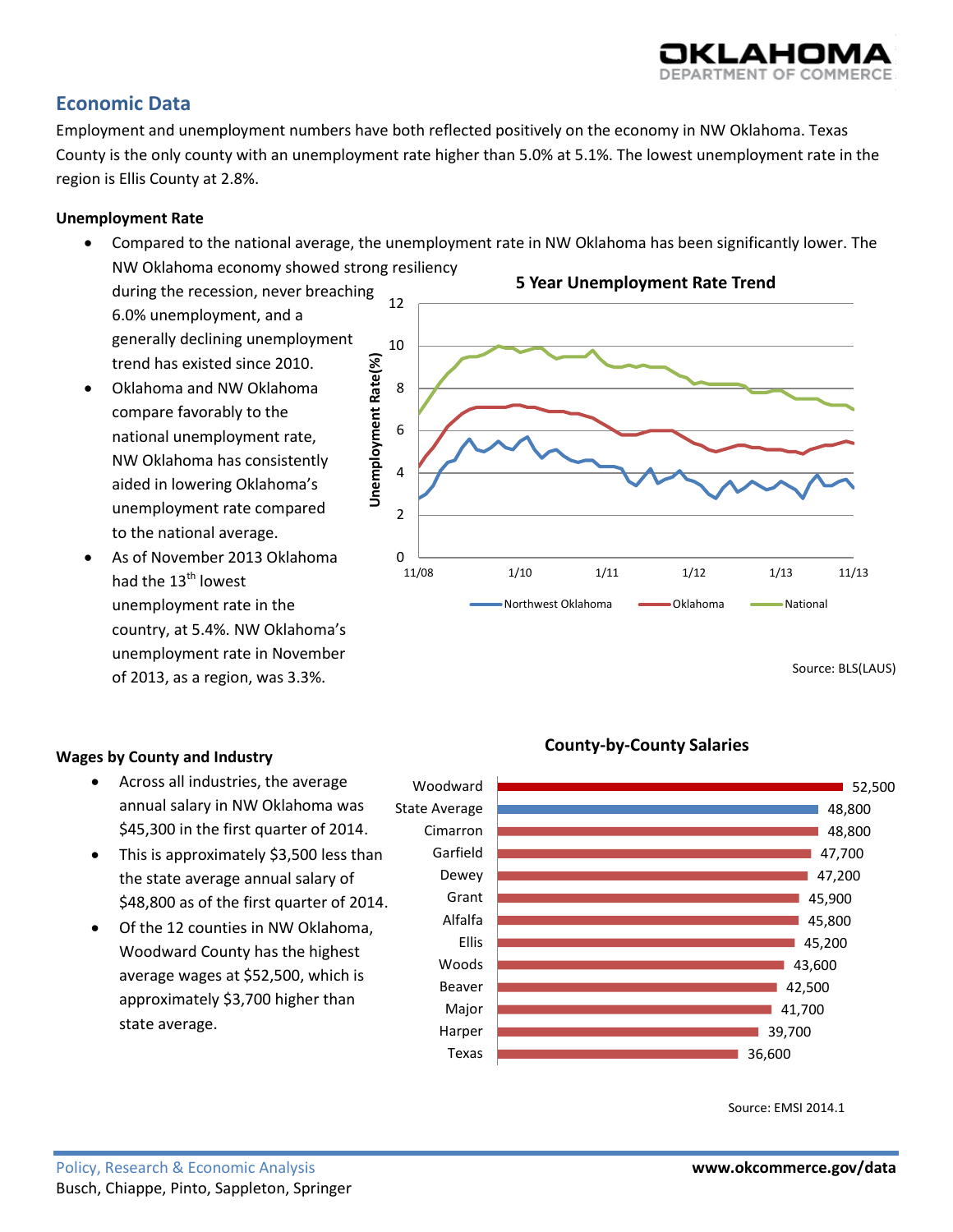# **Economic Data**

Employment and unemployment numbers have both reflected positively on the economy in NW Oklahoma. Texas County is the only county with an unemployment rate higher than 5.0% at 5.1%. The lowest unemployment rate in the region is Ellis County at 2.8%.

# **Unemployment Rate**

 Compared to the national average, the unemployment rate in NW Oklahoma has been significantly lower. The NW Oklahoma economy showed strong resiliency

> Texas Harper Major Beaver Woods Ellis Alfalfa

during the recession, never breaching 6.0% unemployment, and a generally declining unemployment trend has existed since 2010.

- Oklahoma and NW Oklahoma compare favorably to the national unemployment rate, NW Oklahoma has consistently aided in lowering Oklahoma's unemployment rate compared to the national average.
- As of November 2013 Oklahoma had the 13<sup>th</sup> lowest unemployment rate in the country, at 5.4%. NW Oklahoma's unemployment rate in November of 2013, as a region, was 3.3%.



- Across all industries, the average annual salary in NW Oklahoma was \$45,300 in the first quarter of 2014.
- This is approximately \$3,500 less than the state average annual salary of \$48,800 as of the first quarter of 2014.
- Of the 12 counties in NW Oklahoma, Woodward County has the highest average wages at \$52,500, which is approximately \$3,700 higher than state average.



36,600 39,700 41,700 42,500 43,600 45,200 45,800



# **County-by-County Salaries**



**5 Year Unemployment Rate Trend**



52,500

Source: BLS(LAUS)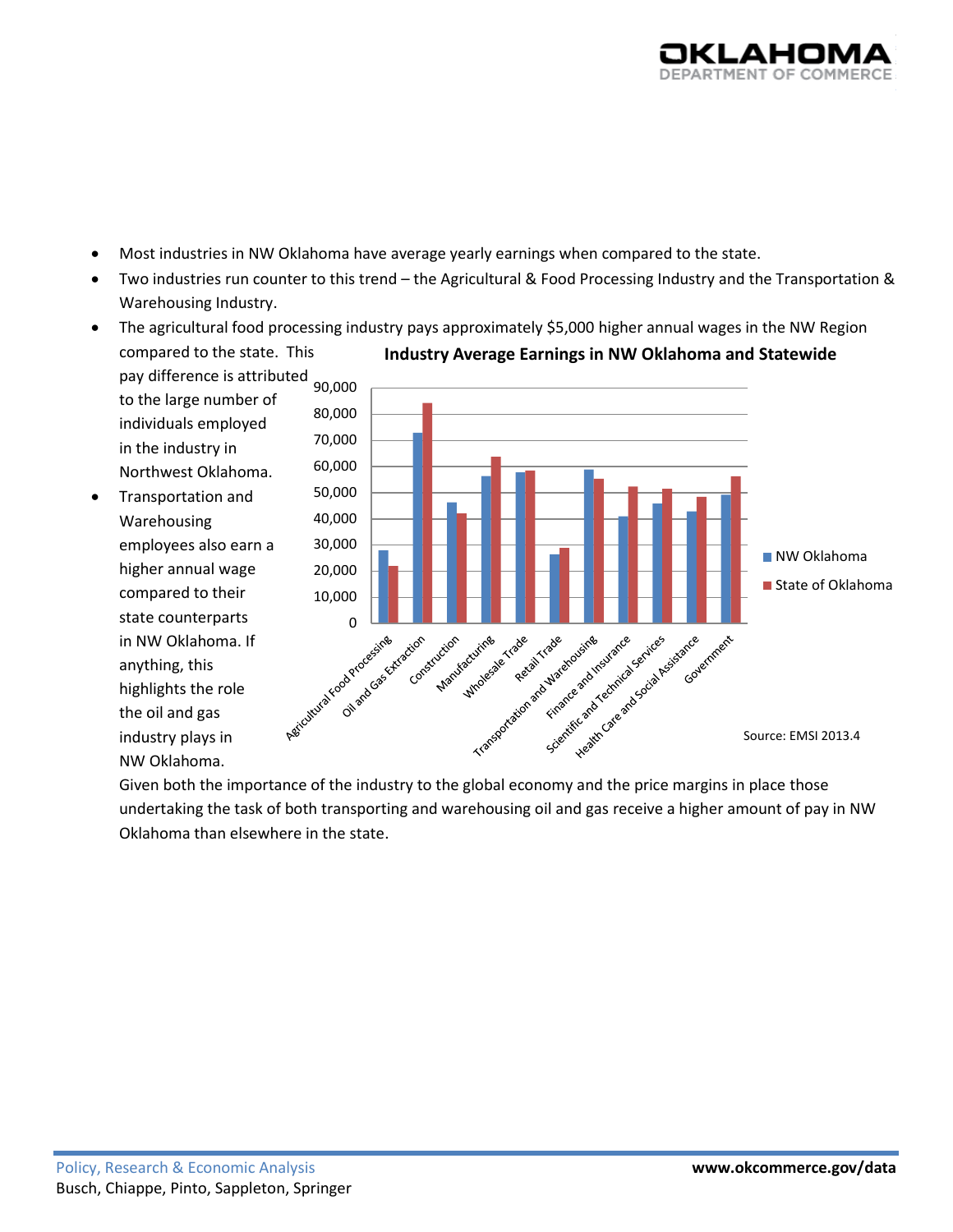

- Most industries in NW Oklahoma have average yearly earnings when compared to the state.
- Two industries run counter to this trend the Agricultural & Food Processing Industry and the Transportation & Warehousing Industry.



The agricultural food processing industry pays approximately \$5,000 higher annual wages in the NW Region

Given both the importance of the industry to the global economy and the price margins in place those undertaking the task of both transporting and warehousing oil and gas receive a higher amount of pay in NW Oklahoma than elsewhere in the state.

highlights the role the oil and gas industry plays in NW Oklahoma.

Source: EMSI 2013.4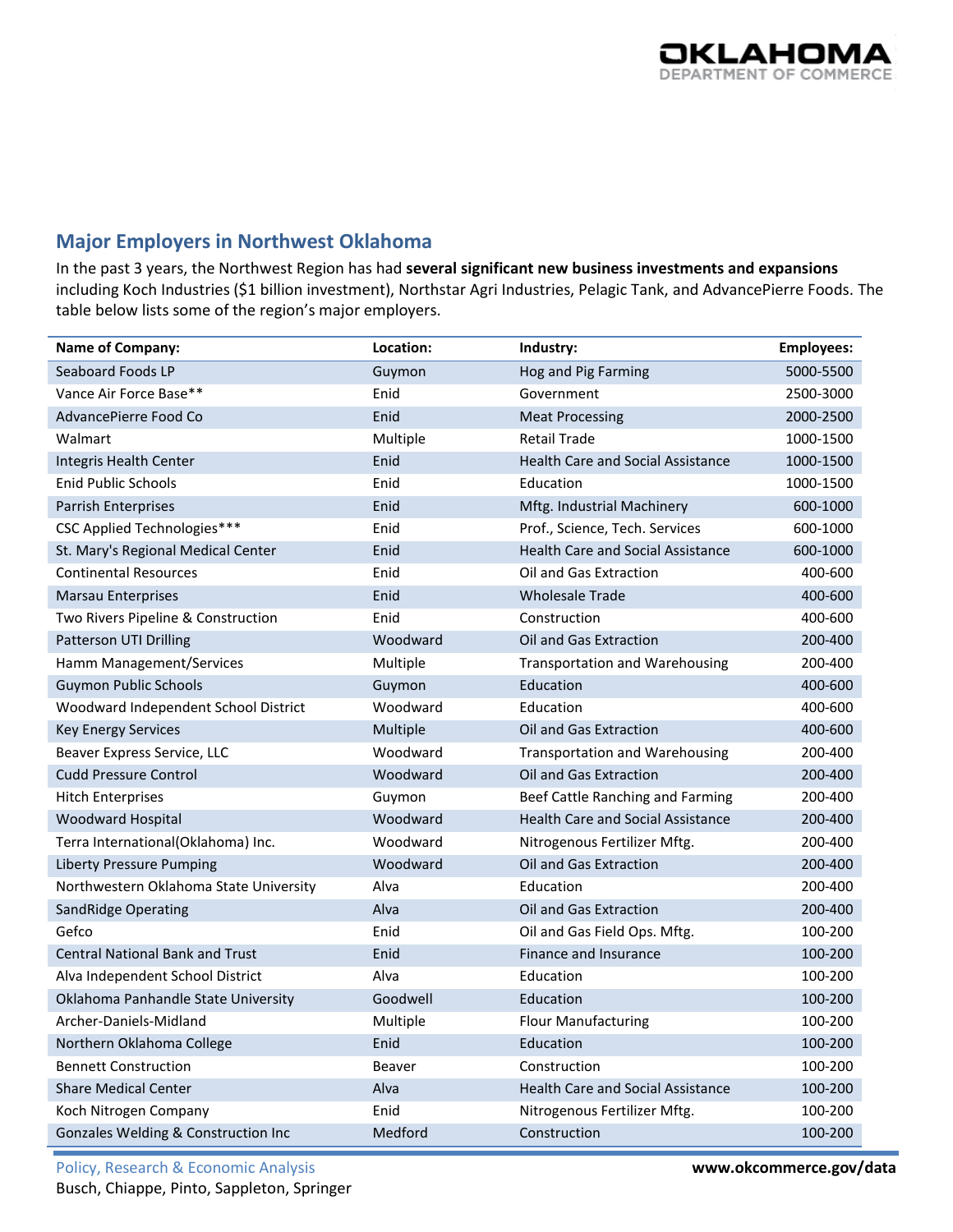# **Major Employers in Northwest Oklahoma**

In the past 3 years, the Northwest Region has had **several significant new business investments and expansions** including Koch Industries (\$1 billion investment), Northstar Agri Industries, Pelagic Tank, and AdvancePierre Foods. The table below lists some of the region's major employers.

| <b>Name of Company:</b>                | Location: | Industry:                                | <b>Employees:</b> |
|----------------------------------------|-----------|------------------------------------------|-------------------|
| Seaboard Foods LP                      | Guymon    | Hog and Pig Farming                      | 5000-5500         |
| Vance Air Force Base**                 | Enid      | Government                               | 2500-3000         |
| AdvancePierre Food Co                  | Enid      | <b>Meat Processing</b>                   | 2000-2500         |
| Walmart                                | Multiple  | <b>Retail Trade</b>                      | 1000-1500         |
| Integris Health Center                 | Enid      | <b>Health Care and Social Assistance</b> | 1000-1500         |
| <b>Enid Public Schools</b>             | Enid      | Education                                | 1000-1500         |
| Parrish Enterprises                    | Enid      | Mftg. Industrial Machinery               | 600-1000          |
| CSC Applied Technologies***            | Enid      | Prof., Science, Tech. Services           | 600-1000          |
| St. Mary's Regional Medical Center     | Enid      | <b>Health Care and Social Assistance</b> | 600-1000          |
| <b>Continental Resources</b>           | Enid      | Oil and Gas Extraction                   | 400-600           |
| <b>Marsau Enterprises</b>              | Enid      | <b>Wholesale Trade</b>                   | 400-600           |
| Two Rivers Pipeline & Construction     | Enid      | Construction                             | 400-600           |
| Patterson UTI Drilling                 | Woodward  | Oil and Gas Extraction                   | 200-400           |
| Hamm Management/Services               | Multiple  | <b>Transportation and Warehousing</b>    | 200-400           |
| Guymon Public Schools                  | Guymon    | Education                                | 400-600           |
| Woodward Independent School District   | Woodward  | Education                                | 400-600           |
| <b>Key Energy Services</b>             | Multiple  | Oil and Gas Extraction                   | 400-600           |
| Beaver Express Service, LLC            | Woodward  | <b>Transportation and Warehousing</b>    | 200-400           |
| <b>Cudd Pressure Control</b>           | Woodward  | Oil and Gas Extraction                   | 200-400           |
| <b>Hitch Enterprises</b>               | Guymon    | Beef Cattle Ranching and Farming         | 200-400           |
| Woodward Hospital                      | Woodward  | <b>Health Care and Social Assistance</b> | 200-400           |
| Terra International(Oklahoma) Inc.     | Woodward  | Nitrogenous Fertilizer Mftg.             | 200-400           |
| <b>Liberty Pressure Pumping</b>        | Woodward  | Oil and Gas Extraction                   | 200-400           |
| Northwestern Oklahoma State University | Alva      | Education                                | 200-400           |
| <b>SandRidge Operating</b>             | Alva      | Oil and Gas Extraction                   | 200-400           |
| Gefco                                  | Enid      | Oil and Gas Field Ops. Mftg.             | 100-200           |
| <b>Central National Bank and Trust</b> | Enid      | <b>Finance and Insurance</b>             | 100-200           |
| Alva Independent School District       | Alva      | Education                                | 100-200           |
| Oklahoma Panhandle State University    | Goodwell  | Education                                | 100-200           |
| Archer-Daniels-Midland                 | Multiple  | <b>Flour Manufacturing</b>               | 100-200           |
| Northern Oklahoma College              | Enid      | Education                                | 100-200           |
| <b>Bennett Construction</b>            | Beaver    | Construction                             | 100-200           |
| <b>Share Medical Center</b>            | Alva      | <b>Health Care and Social Assistance</b> | 100-200           |
| Koch Nitrogen Company                  | Enid      | Nitrogenous Fertilizer Mftg.             | 100-200           |
| Gonzales Welding & Construction Inc    | Medford   | Construction                             | 100-200           |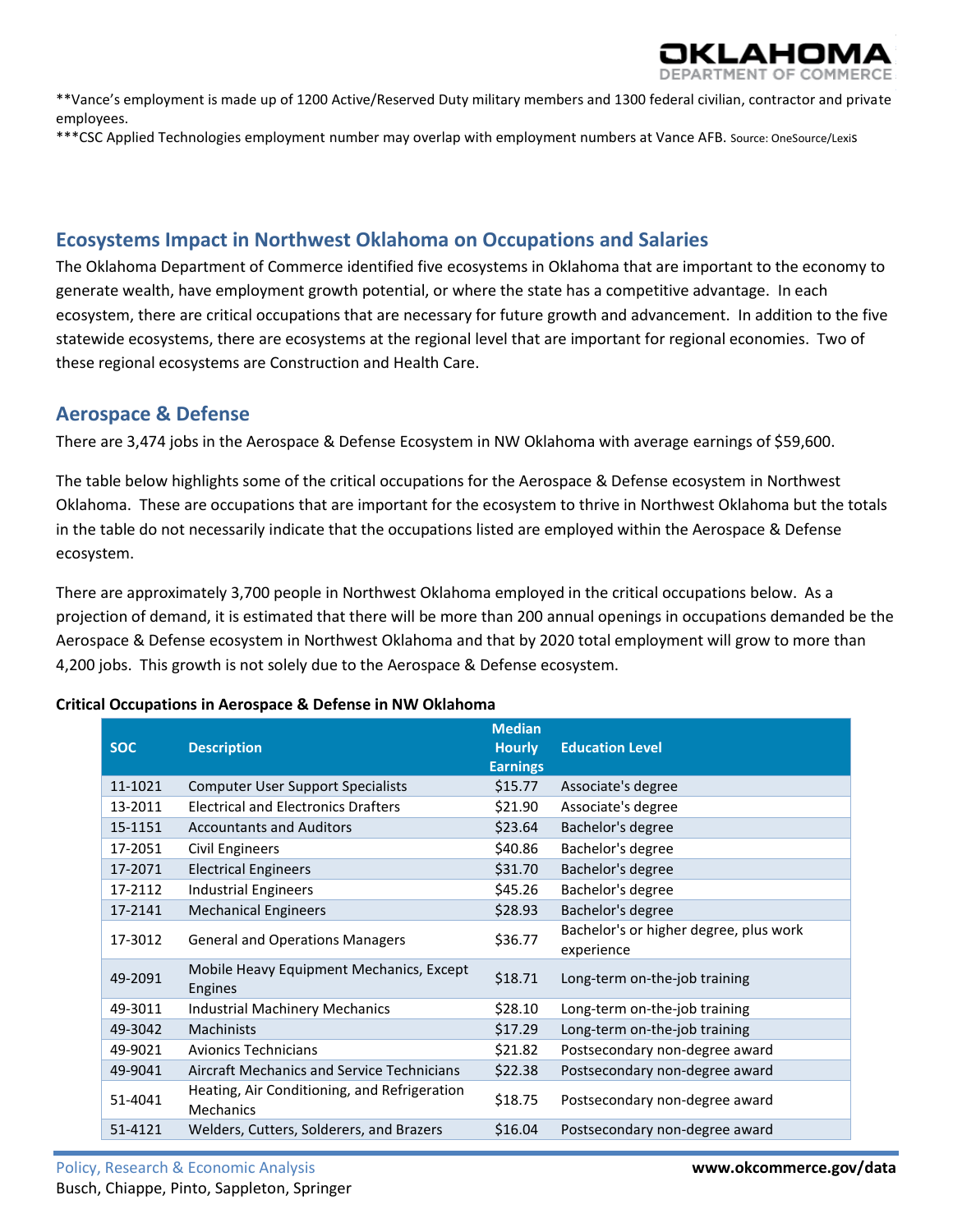\*\*Vance's employment is made up of 1200 Active/Reserved Duty military members and 1300 federal civilian, contractor and private employees.

\*\*\*CSC Applied Technologies employment number may overlap with employment numbers at Vance AFB. Source: OneSource/Lexis

# **Ecosystems Impact in Northwest Oklahoma on Occupations and Salaries**

The Oklahoma Department of Commerce identified five ecosystems in Oklahoma that are important to the economy to generate wealth, have employment growth potential, or where the state has a competitive advantage. In each ecosystem, there are critical occupations that are necessary for future growth and advancement. In addition to the five statewide ecosystems, there are ecosystems at the regional level that are important for regional economies. Two of these regional ecosystems are Construction and Health Care.

# **Aerospace & Defense**

There are 3,474 jobs in the Aerospace & Defense Ecosystem in NW Oklahoma with average earnings of \$59,600.

The table below highlights some of the critical occupations for the Aerospace & Defense ecosystem in Northwest Oklahoma. These are occupations that are important for the ecosystem to thrive in Northwest Oklahoma but the totals in the table do not necessarily indicate that the occupations listed are employed within the Aerospace & Defense ecosystem.

There are approximately 3,700 people in Northwest Oklahoma employed in the critical occupations below. As a projection of demand, it is estimated that there will be more than 200 annual openings in occupations demanded be the Aerospace & Defense ecosystem in Northwest Oklahoma and that by 2020 total employment will grow to more than 4,200 jobs. This growth is not solely due to the Aerospace & Defense ecosystem.

| <b>SOC</b> | <b>Description</b>                                               | <b>Median</b><br><b>Hourly</b><br><b>Earnings</b> | <b>Education Level</b>                               |
|------------|------------------------------------------------------------------|---------------------------------------------------|------------------------------------------------------|
| 11-1021    | <b>Computer User Support Specialists</b>                         | \$15.77                                           | Associate's degree                                   |
| 13-2011    | <b>Electrical and Electronics Drafters</b>                       | \$21.90                                           | Associate's degree                                   |
| 15-1151    | <b>Accountants and Auditors</b>                                  | \$23.64                                           | Bachelor's degree                                    |
| 17-2051    | <b>Civil Engineers</b>                                           | \$40.86                                           | Bachelor's degree                                    |
| 17-2071    | <b>Electrical Engineers</b>                                      | \$31.70                                           | Bachelor's degree                                    |
| 17-2112    | <b>Industrial Engineers</b>                                      | \$45.26                                           | Bachelor's degree                                    |
| 17-2141    | <b>Mechanical Engineers</b>                                      | \$28.93                                           | Bachelor's degree                                    |
| 17-3012    | <b>General and Operations Managers</b>                           | \$36.77                                           | Bachelor's or higher degree, plus work<br>experience |
| 49-2091    | Mobile Heavy Equipment Mechanics, Except<br>Engines              | \$18.71                                           | Long-term on-the-job training                        |
| 49-3011    | <b>Industrial Machinery Mechanics</b>                            | \$28.10                                           | Long-term on-the-job training                        |
| 49-3042    | <b>Machinists</b>                                                | \$17.29                                           | Long-term on-the-job training                        |
| 49-9021    | <b>Avionics Technicians</b>                                      | \$21.82                                           | Postsecondary non-degree award                       |
| 49-9041    | Aircraft Mechanics and Service Technicians                       | \$22.38                                           | Postsecondary non-degree award                       |
| 51-4041    | Heating, Air Conditioning, and Refrigeration<br><b>Mechanics</b> | \$18.75                                           | Postsecondary non-degree award                       |
| 51-4121    | Welders, Cutters, Solderers, and Brazers                         | \$16.04                                           | Postsecondary non-degree award                       |

#### **Critical Occupations in Aerospace & Defense in NW Oklahoma**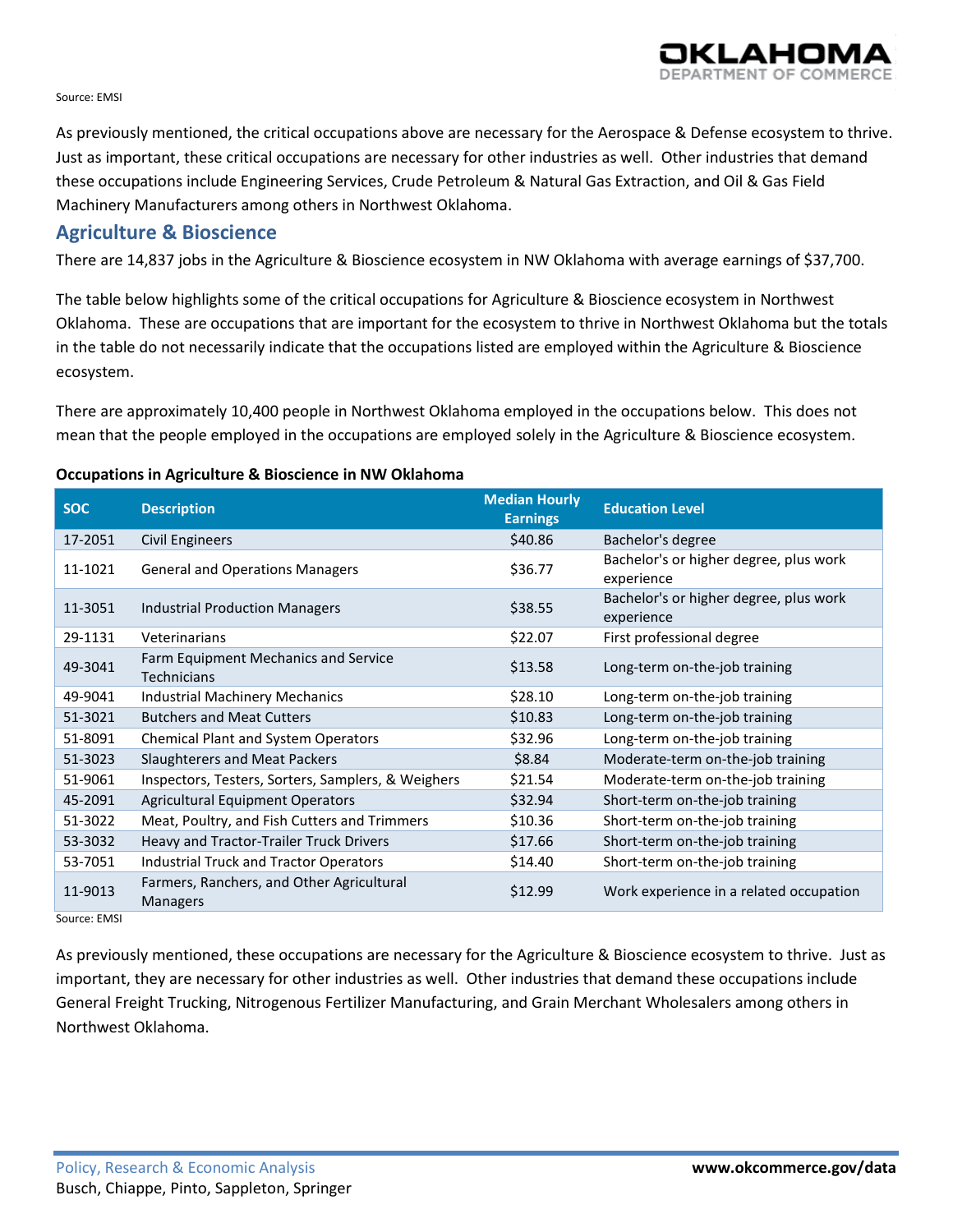

#### Source: EMSI

As previously mentioned, the critical occupations above are necessary for the Aerospace & Defense ecosystem to thrive. Just as important, these critical occupations are necessary for other industries as well. Other industries that demand these occupations include Engineering Services, Crude Petroleum & Natural Gas Extraction, and Oil & Gas Field Machinery Manufacturers among others in Northwest Oklahoma.

### **Agriculture & Bioscience**

There are 14,837 jobs in the Agriculture & Bioscience ecosystem in NW Oklahoma with average earnings of \$37,700.

The table below highlights some of the critical occupations for Agriculture & Bioscience ecosystem in Northwest Oklahoma. These are occupations that are important for the ecosystem to thrive in Northwest Oklahoma but the totals in the table do not necessarily indicate that the occupations listed are employed within the Agriculture & Bioscience ecosystem.

There are approximately 10,400 people in Northwest Oklahoma employed in the occupations below. This does not mean that the people employed in the occupations are employed solely in the Agriculture & Bioscience ecosystem.

#### **Occupations in Agriculture & Bioscience in NW Oklahoma**

| <b>SOC</b>                               | <b>Description</b>                                         | <b>Median Hourly</b><br><b>Earnings</b> | <b>Education Level</b>                               |
|------------------------------------------|------------------------------------------------------------|-----------------------------------------|------------------------------------------------------|
| 17-2051                                  | <b>Civil Engineers</b>                                     | \$40.86                                 | Bachelor's degree                                    |
| 11-1021                                  | <b>General and Operations Managers</b>                     | \$36.77                                 | Bachelor's or higher degree, plus work<br>experience |
| 11-3051                                  | <b>Industrial Production Managers</b>                      | \$38.55                                 | Bachelor's or higher degree, plus work<br>experience |
| 29-1131                                  | Veterinarians                                              | \$22.07                                 | First professional degree                            |
| 49-3041                                  | Farm Equipment Mechanics and Service<br><b>Technicians</b> | \$13.58                                 | Long-term on-the-job training                        |
| 49-9041                                  | Industrial Machinery Mechanics                             | \$28.10                                 | Long-term on-the-job training                        |
| 51-3021                                  | <b>Butchers and Meat Cutters</b>                           | \$10.83                                 | Long-term on-the-job training                        |
| 51-8091                                  | <b>Chemical Plant and System Operators</b>                 | \$32.96                                 | Long-term on-the-job training                        |
| 51-3023                                  | <b>Slaughterers and Meat Packers</b>                       | \$8.84                                  | Moderate-term on-the-job training                    |
| 51-9061                                  | Inspectors, Testers, Sorters, Samplers, & Weighers         | \$21.54                                 | Moderate-term on-the-job training                    |
| 45-2091                                  | <b>Agricultural Equipment Operators</b>                    | \$32.94                                 | Short-term on-the-job training                       |
| 51-3022                                  | Meat, Poultry, and Fish Cutters and Trimmers               | \$10.36                                 | Short-term on-the-job training                       |
| 53-3032                                  | Heavy and Tractor-Trailer Truck Drivers                    | \$17.66                                 | Short-term on-the-job training                       |
| 53-7051                                  | Industrial Truck and Tractor Operators                     | \$14.40                                 | Short-term on-the-job training                       |
| 11-9013<br>$C_{\text{AllFCA}}$ , $E$ MCI | Farmers, Ranchers, and Other Agricultural<br>Managers      | \$12.99                                 | Work experience in a related occupation              |

Source: EMSI

As previously mentioned, these occupations are necessary for the Agriculture & Bioscience ecosystem to thrive. Just as important, they are necessary for other industries as well. Other industries that demand these occupations include General Freight Trucking, Nitrogenous Fertilizer Manufacturing, and Grain Merchant Wholesalers among others in Northwest Oklahoma.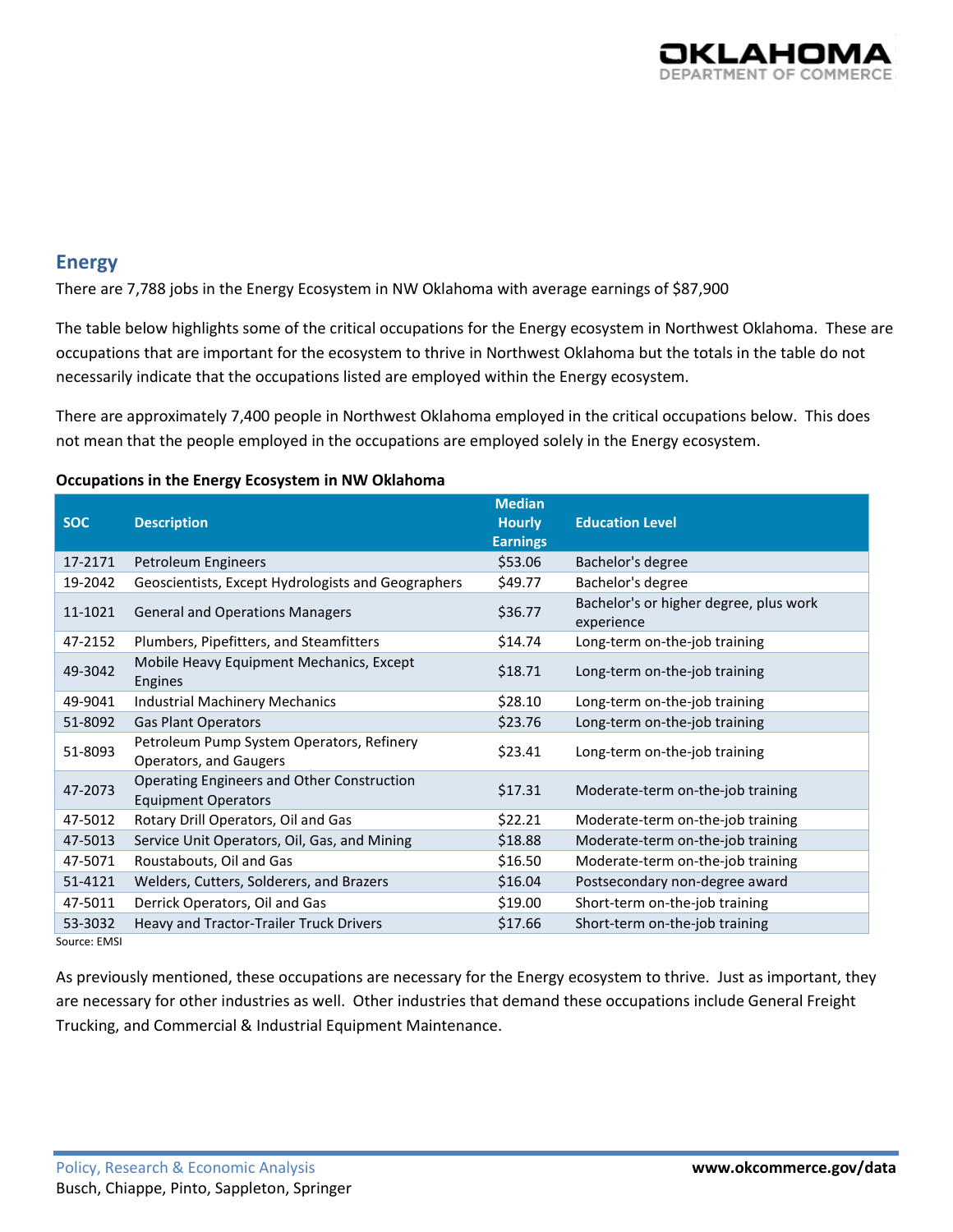

# **Energy**

There are 7,788 jobs in the Energy Ecosystem in NW Oklahoma with average earnings of \$87,900

The table below highlights some of the critical occupations for the Energy ecosystem in Northwest Oklahoma. These are occupations that are important for the ecosystem to thrive in Northwest Oklahoma but the totals in the table do not necessarily indicate that the occupations listed are employed within the Energy ecosystem.

There are approximately 7,400 people in Northwest Oklahoma employed in the critical occupations below. This does not mean that the people employed in the occupations are employed solely in the Energy ecosystem.

#### **Occupations in the Energy Ecosystem in NW Oklahoma**

|            |                                                                          | <b>Median</b>   |                                                      |
|------------|--------------------------------------------------------------------------|-----------------|------------------------------------------------------|
| <b>SOC</b> | <b>Description</b>                                                       | <b>Hourly</b>   | <b>Education Level</b>                               |
|            |                                                                          | <b>Earnings</b> |                                                      |
| 17-2171    | Petroleum Engineers                                                      | \$53.06         | Bachelor's degree                                    |
| 19-2042    | Geoscientists, Except Hydrologists and Geographers                       | \$49.77         | Bachelor's degree                                    |
| 11-1021    | <b>General and Operations Managers</b>                                   | \$36.77         | Bachelor's or higher degree, plus work<br>experience |
| 47-2152    | Plumbers, Pipefitters, and Steamfitters                                  | \$14.74         | Long-term on-the-job training                        |
| 49-3042    | Mobile Heavy Equipment Mechanics, Except<br><b>Engines</b>               | \$18.71         | Long-term on-the-job training                        |
| 49-9041    | <b>Industrial Machinery Mechanics</b>                                    | \$28.10         | Long-term on-the-job training                        |
| 51-8092    | <b>Gas Plant Operators</b>                                               | \$23.76         | Long-term on-the-job training                        |
| 51-8093    | Petroleum Pump System Operators, Refinery<br>Operators, and Gaugers      | \$23.41         | Long-term on-the-job training                        |
| 47-2073    | Operating Engineers and Other Construction<br><b>Equipment Operators</b> | \$17.31         | Moderate-term on-the-job training                    |
| 47-5012    | Rotary Drill Operators, Oil and Gas                                      | \$22.21         | Moderate-term on-the-job training                    |
| 47-5013    | Service Unit Operators, Oil, Gas, and Mining                             | \$18.88         | Moderate-term on-the-job training                    |
| 47-5071    | Roustabouts, Oil and Gas                                                 | \$16.50         | Moderate-term on-the-job training                    |
| 51-4121    | Welders, Cutters, Solderers, and Brazers                                 | \$16.04         | Postsecondary non-degree award                       |
| 47-5011    | Derrick Operators, Oil and Gas                                           | \$19.00         | Short-term on-the-job training                       |
| 53-3032    | Heavy and Tractor-Trailer Truck Drivers                                  | \$17.66         | Short-term on-the-job training                       |
|            |                                                                          |                 |                                                      |

Source: EMSI

As previously mentioned, these occupations are necessary for the Energy ecosystem to thrive. Just as important, they are necessary for other industries as well. Other industries that demand these occupations include General Freight Trucking, and Commercial & Industrial Equipment Maintenance.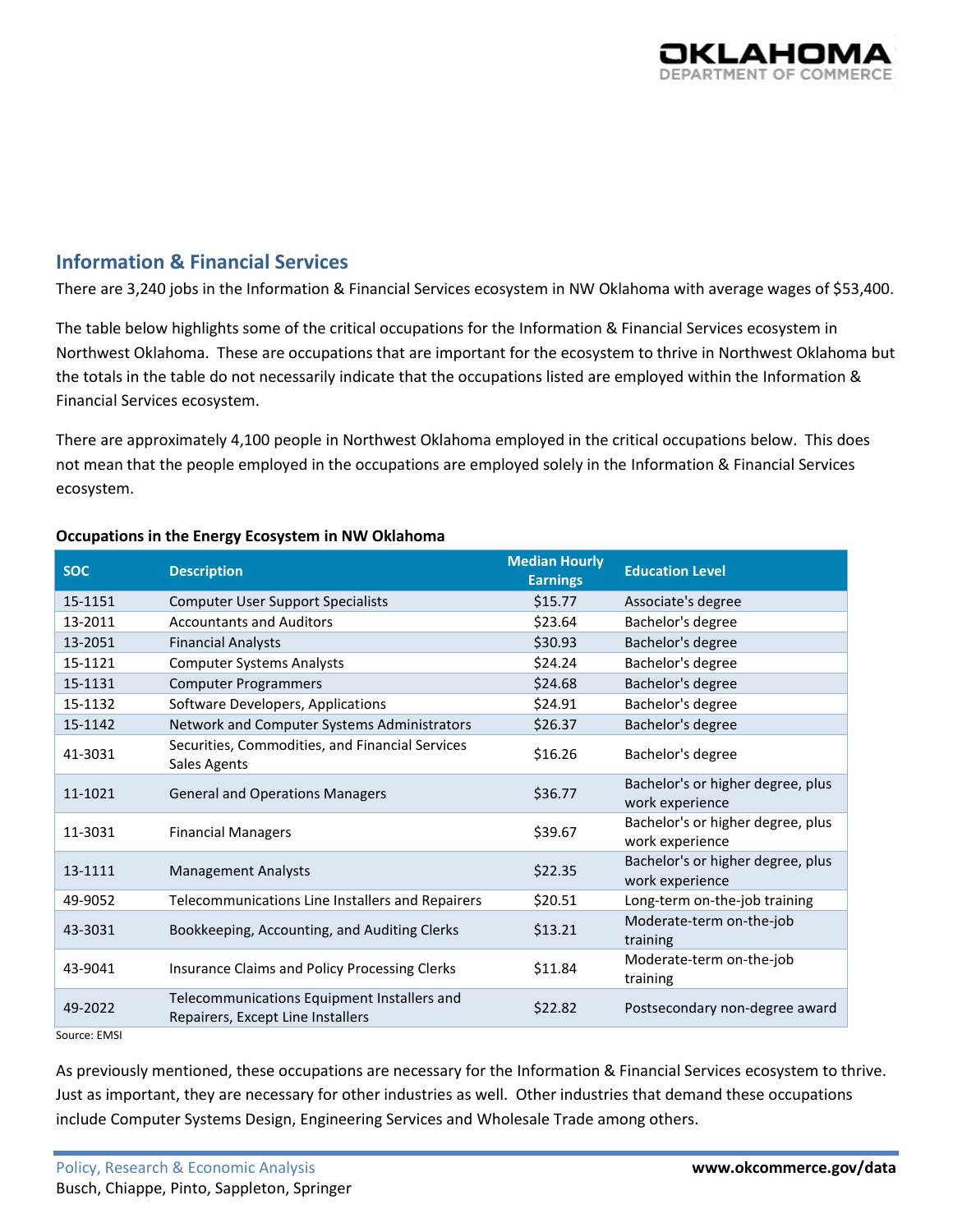

# **Information & Financial Services**

There are 3,240 jobs in the Information & Financial Services ecosystem in NW Oklahoma with average wages of \$53,400.

The table below highlights some of the critical occupations for the Information & Financial Services ecosystem in Northwest Oklahoma. These are occupations that are important for the ecosystem to thrive in Northwest Oklahoma but the totals in the table do not necessarily indicate that the occupations listed are employed within the Information & Financial Services ecosystem.

There are approximately 4,100 people in Northwest Oklahoma employed in the critical occupations below. This does not mean that the people employed in the occupations are employed solely in the Information & Financial Services ecosystem.

| <b>Description</b>                                                               | <b>Median Hourly</b><br><b>Earnings</b> | <b>Education Level</b>                               |
|----------------------------------------------------------------------------------|-----------------------------------------|------------------------------------------------------|
| <b>Computer User Support Specialists</b>                                         | \$15.77                                 | Associate's degree                                   |
| <b>Accountants and Auditors</b>                                                  | \$23.64                                 | Bachelor's degree                                    |
| <b>Financial Analysts</b>                                                        | \$30.93                                 | Bachelor's degree                                    |
| <b>Computer Systems Analysts</b>                                                 | \$24.24                                 | Bachelor's degree                                    |
| <b>Computer Programmers</b>                                                      | \$24.68                                 | Bachelor's degree                                    |
| Software Developers, Applications                                                | \$24.91                                 | Bachelor's degree                                    |
| Network and Computer Systems Administrators                                      | \$26.37                                 | Bachelor's degree                                    |
| Securities, Commodities, and Financial Services<br>Sales Agents                  | \$16.26                                 | Bachelor's degree                                    |
| <b>General and Operations Managers</b>                                           | \$36.77                                 | Bachelor's or higher degree, plus<br>work experience |
| <b>Financial Managers</b>                                                        | \$39.67                                 | Bachelor's or higher degree, plus<br>work experience |
| <b>Management Analysts</b>                                                       | \$22.35                                 | Bachelor's or higher degree, plus<br>work experience |
| Telecommunications Line Installers and Repairers                                 | \$20.51                                 | Long-term on-the-job training                        |
| Bookkeeping, Accounting, and Auditing Clerks                                     | \$13.21                                 | Moderate-term on-the-job<br>training                 |
| Insurance Claims and Policy Processing Clerks                                    | \$11.84                                 | Moderate-term on-the-job<br>training                 |
| Telecommunications Equipment Installers and<br>Repairers, Except Line Installers | \$22.82                                 | Postsecondary non-degree award                       |
|                                                                                  |                                         |                                                      |

#### **Occupations in the Energy Ecosystem in NW Oklahoma**

Source: EMSI

As previously mentioned, these occupations are necessary for the Information & Financial Services ecosystem to thrive. Just as important, they are necessary for other industries as well. Other industries that demand these occupations include Computer Systems Design, Engineering Services and Wholesale Trade among others.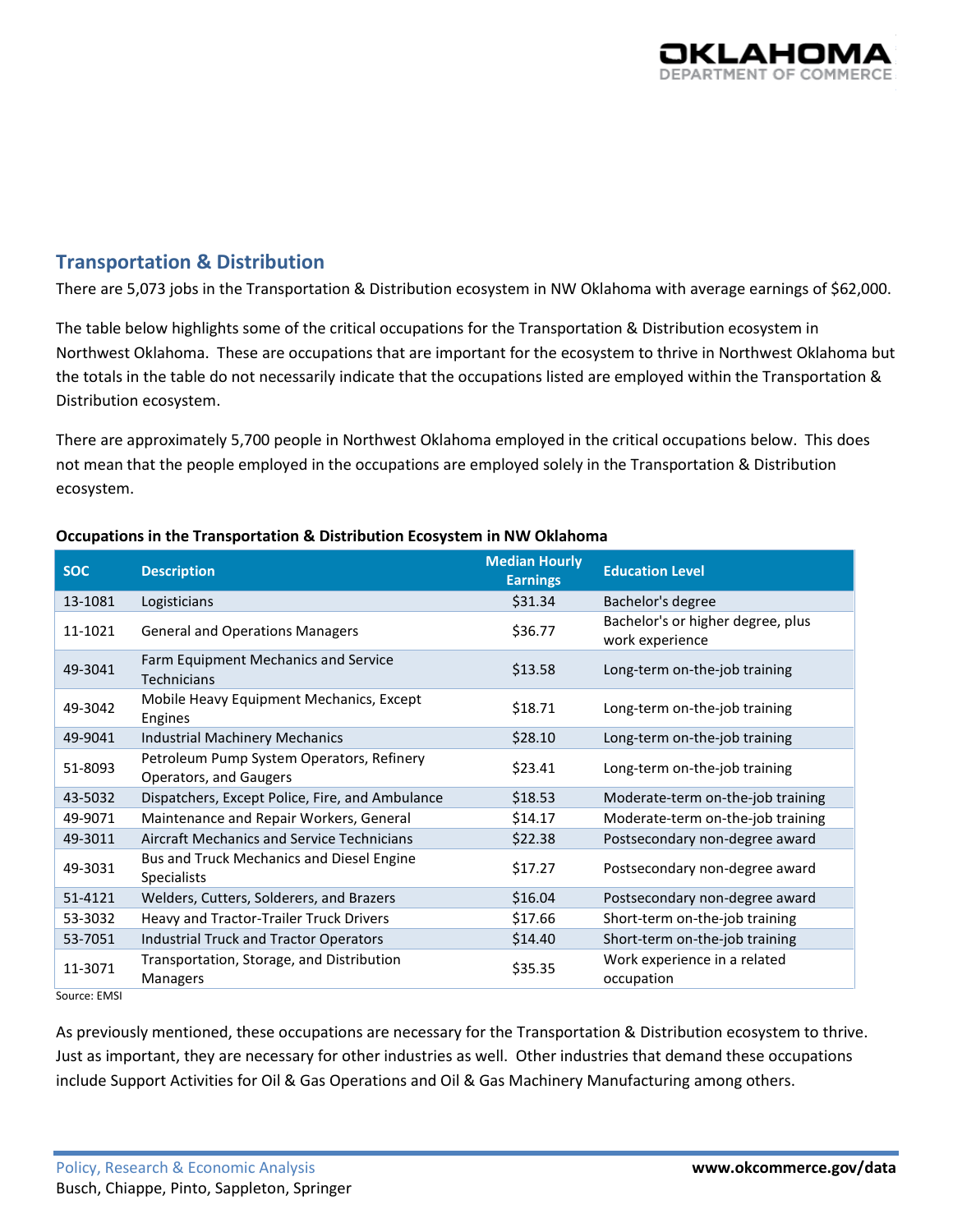

# **Transportation & Distribution**

There are 5,073 jobs in the Transportation & Distribution ecosystem in NW Oklahoma with average earnings of \$62,000.

The table below highlights some of the critical occupations for the Transportation & Distribution ecosystem in Northwest Oklahoma. These are occupations that are important for the ecosystem to thrive in Northwest Oklahoma but the totals in the table do not necessarily indicate that the occupations listed are employed within the Transportation & Distribution ecosystem.

There are approximately 5,700 people in Northwest Oklahoma employed in the critical occupations below. This does not mean that the people employed in the occupations are employed solely in the Transportation & Distribution ecosystem.

| <b>SOC</b>                             | <b>Description</b>                                                  | <b>Median Hourly</b><br><b>Earnings</b> | <b>Education Level</b>                               |
|----------------------------------------|---------------------------------------------------------------------|-----------------------------------------|------------------------------------------------------|
| 13-1081                                | Logisticians                                                        | \$31.34                                 | Bachelor's degree                                    |
| 11-1021                                | <b>General and Operations Managers</b>                              | \$36.77                                 | Bachelor's or higher degree, plus<br>work experience |
| 49-3041                                | Farm Equipment Mechanics and Service<br><b>Technicians</b>          | \$13.58                                 | Long-term on-the-job training                        |
| 49-3042                                | Mobile Heavy Equipment Mechanics, Except<br>Engines                 | \$18.71                                 | Long-term on-the-job training                        |
| 49-9041                                | <b>Industrial Machinery Mechanics</b>                               | \$28.10                                 | Long-term on-the-job training                        |
| 51-8093                                | Petroleum Pump System Operators, Refinery<br>Operators, and Gaugers | \$23.41                                 | Long-term on-the-job training                        |
| 43-5032                                | Dispatchers, Except Police, Fire, and Ambulance                     | \$18.53                                 | Moderate-term on-the-job training                    |
| 49-9071                                | Maintenance and Repair Workers, General                             | \$14.17                                 | Moderate-term on-the-job training                    |
| 49-3011                                | Aircraft Mechanics and Service Technicians                          | \$22.38                                 | Postsecondary non-degree award                       |
| 49-3031                                | Bus and Truck Mechanics and Diesel Engine<br><b>Specialists</b>     | \$17.27                                 | Postsecondary non-degree award                       |
| 51-4121                                | Welders, Cutters, Solderers, and Brazers                            | \$16.04                                 | Postsecondary non-degree award                       |
| 53-3032                                | Heavy and Tractor-Trailer Truck Drivers                             | \$17.66                                 | Short-term on-the-job training                       |
| 53-7051                                | <b>Industrial Truck and Tractor Operators</b>                       | \$14.40                                 | Short-term on-the-job training                       |
| 11-3071<br>$C_{\text{AllHOM}}$ $FMACI$ | Transportation, Storage, and Distribution<br>Managers               | \$35.35                                 | Work experience in a related<br>occupation           |

#### **Occupations in the Transportation & Distribution Ecosystem in NW Oklahoma**

Source: EMSI

As previously mentioned, these occupations are necessary for the Transportation & Distribution ecosystem to thrive. Just as important, they are necessary for other industries as well. Other industries that demand these occupations include Support Activities for Oil & Gas Operations and Oil & Gas Machinery Manufacturing among others.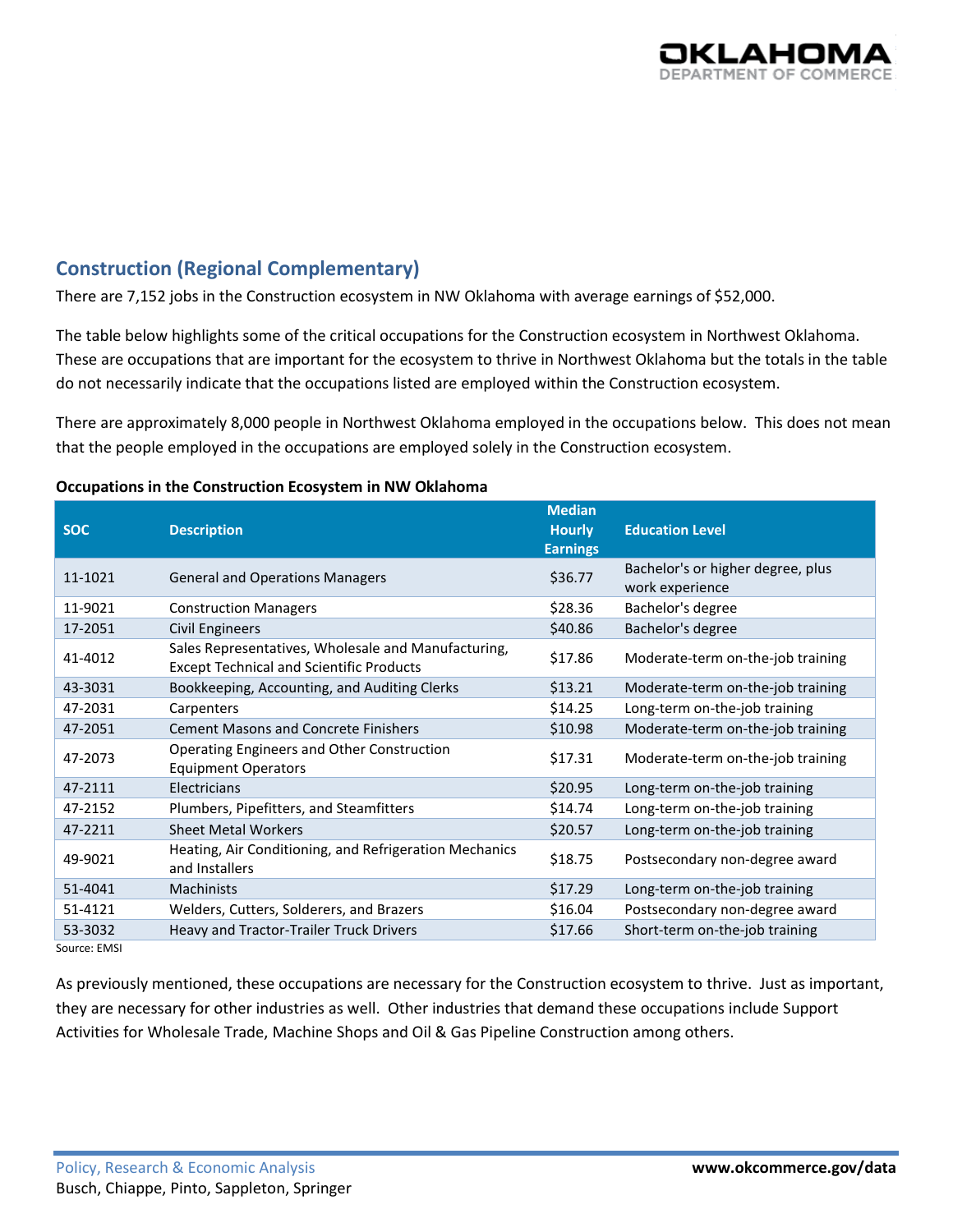

# **Construction (Regional Complementary)**

There are 7,152 jobs in the Construction ecosystem in NW Oklahoma with average earnings of \$52,000.

The table below highlights some of the critical occupations for the Construction ecosystem in Northwest Oklahoma. These are occupations that are important for the ecosystem to thrive in Northwest Oklahoma but the totals in the table do not necessarily indicate that the occupations listed are employed within the Construction ecosystem.

There are approximately 8,000 people in Northwest Oklahoma employed in the occupations below. This does not mean that the people employed in the occupations are employed solely in the Construction ecosystem.

#### **SOC Description Median Hourly Earnings Education Level** 11-1021 General and Operations Managers \$36.77 Bachelor's or higher degree, plus work experience 11-9021 Construction Managers \$28.36 Bachelor's degree 17-2051 Civil Engineers **17-2051** Civil Engineers **17-2051** S40.86 Bachelor's degree 41-4012 Sales Representatives, Wholesale and Manufacturing, Sales Representatives, wholesale and Mandracturing,  $$17.86$  Moderate-term on-the-job training Except Technical and Scientific Products 43-3031 Bookkeeping, Accounting, and Auditing Clerks \$13.21 Moderate-term on-the-job training 47-2031 Carpenters \$14.25 Long-term on-the-job training 47-2051 Cement Masons and Concrete Finishers \$10.98 Moderate-term on-the-job training 47-2073 Operating Engineers and Other Construction  $$17.31$  Moderate-term on-the-job training 47-2111 Electricians \$20.95 Long-term on-the-job training 47-2152 Plumbers, Pipefitters, and Steamfitters **\$14.74** Long-term on-the-job training 47-2211 Sheet Metal Workers \$20.57 Long-term on-the-job training 49-9021 Heating, Air Conditioning, and Refrigeration Mechanics \$18.75 Postsecondary non-degree award 51-4041 Machinists **Machinists Machinists Machinists 17.29** Long-term on-the-job training 51-4121 Welders, Cutters, Solderers, and Brazers \$16.04 Postsecondary non-degree award 53-3032 Heavy and Tractor-Trailer Truck Drivers \$17.66 Short-term on-the-job training

#### **Occupations in the Construction Ecosystem in NW Oklahoma**

Source: EMSI

As previously mentioned, these occupations are necessary for the Construction ecosystem to thrive. Just as important, they are necessary for other industries as well. Other industries that demand these occupations include Support Activities for Wholesale Trade, Machine Shops and Oil & Gas Pipeline Construction among others.